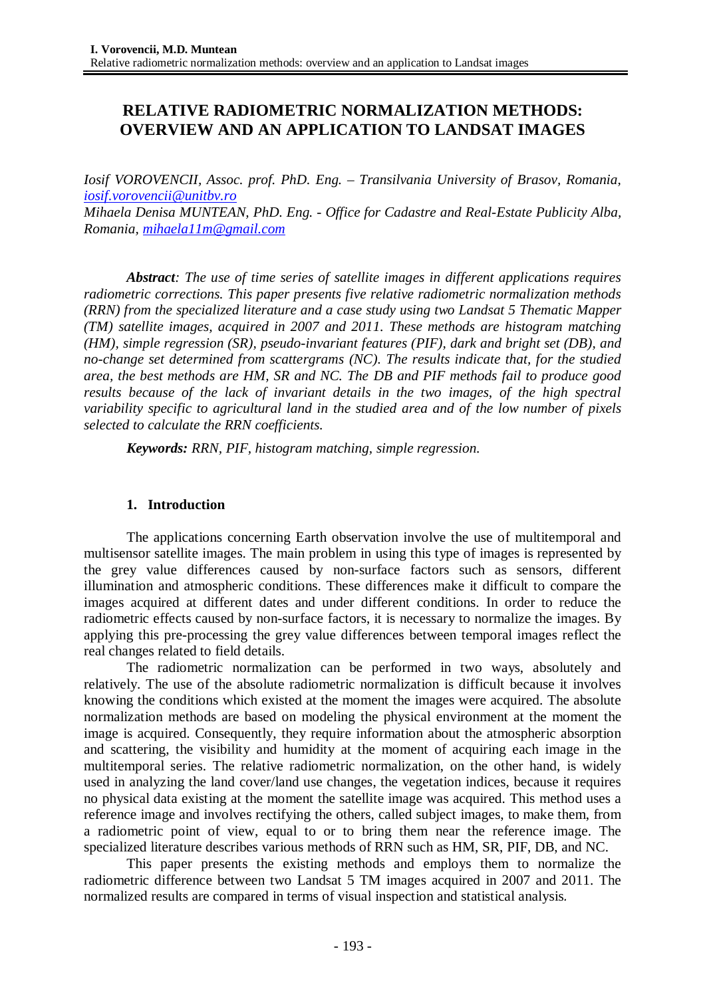# **RELATIVE RADIOMETRIC NORMALIZATION METHODS: OVERVIEW AND AN APPLICATION TO LANDSAT IMAGES**

*Iosif VOROVENCII, Assoc. prof. PhD. Eng. – Transilvania University of Brasov, Romania, [iosif.vorovencii@unitbv.ro](mailto:iosif.vorovencii@unitbv.ro) Mihaela Denisa MUNTEAN, PhD. Eng. - Office for Cadastre and Real-Estate Publicity Alba, Romania, [mihaela11m@gmail.com](mailto:mihaela11m@gmail.com)*

*Abstract: The use of time series of satellite images in different applications requires radiometric corrections. This paper presents five relative radiometric normalization methods (RRN) from the specialized literature and a case study using two Landsat 5 Thematic Mapper (TM) satellite images, acquired in 2007 and 2011. These methods are histogram matching (HM), simple regression (SR), pseudo-invariant features (PIF), dark and bright set (DB), and no-change set determined from scattergrams (NC). The results indicate that, for the studied area, the best methods are HM, SR and NC. The DB and PIF methods fail to produce good results because of the lack of invariant details in the two images, of the high spectral variability specific to agricultural land in the studied area and of the low number of pixels selected to calculate the RRN coefficients.*

*Keywords: RRN, PIF, histogram matching, simple regression.*

# **1. Introduction**

The applications concerning Earth observation involve the use of multitemporal and multisensor satellite images. The main problem in using this type of images is represented by the grey value differences caused by non-surface factors such as sensors, different illumination and atmospheric conditions. These differences make it difficult to compare the images acquired at different dates and under different conditions. In order to reduce the radiometric effects caused by non-surface factors, it is necessary to normalize the images. By applying this pre-processing the grey value differences between temporal images reflect the real changes related to field details.

The radiometric normalization can be performed in two ways, absolutely and relatively. The use of the absolute radiometric normalization is difficult because it involves knowing the conditions which existed at the moment the images were acquired. The absolute normalization methods are based on modeling the physical environment at the moment the image is acquired. Consequently, they require information about the atmospheric absorption and scattering, the visibility and humidity at the moment of acquiring each image in the multitemporal series. The relative radiometric normalization, on the other hand, is widely used in analyzing the land cover/land use changes, the vegetation indices, because it requires no physical data existing at the moment the satellite image was acquired. This method uses a reference image and involves rectifying the others, called subject images, to make them, from a radiometric point of view, equal to or to bring them near the reference image. The specialized literature describes various methods of RRN such as HM, SR, PIF, DB, and NC.

This paper presents the existing methods and employs them to normalize the radiometric difference between two Landsat 5 TM images acquired in 2007 and 2011. The normalized results are compared in terms of visual inspection and statistical analysis*.*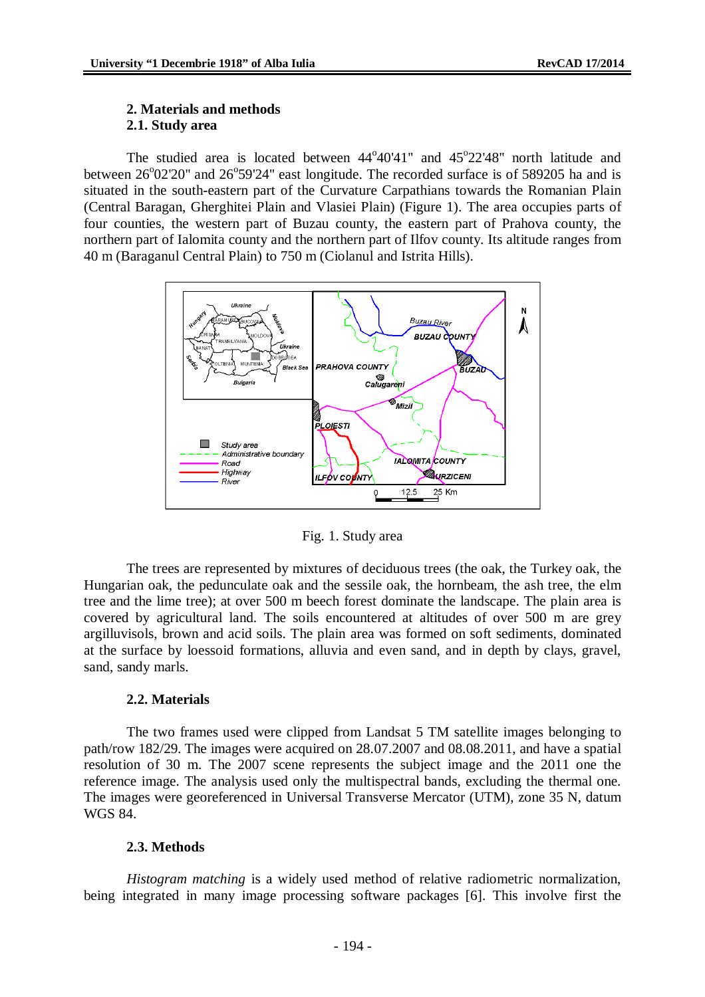# **2. Materials and methods 2.1. Study area**

The studied area is located between  $44^{\circ}40'41''$  and  $45^{\circ}22'48''$  north latitude and between 26°02'20" and 26°59'24" east longitude. The recorded surface is of 589205 ha and is situated in the south-eastern part of the Curvature Carpathians towards the Romanian Plain (Central Baragan, Gherghitei Plain and Vlasiei Plain) (Figure 1). The area occupies parts of four counties, the western part of Buzau county, the eastern part of Prahova county, the northern part of Ialomita county and the northern part of Ilfov county. Its altitude ranges from 40 m (Baraganul Central Plain) to 750 m (Ciolanul and Istrita Hills).



Fig. 1. Study area

The trees are represented by mixtures of deciduous trees (the oak, the Turkey oak, the Hungarian oak, the pedunculate oak and the sessile oak, the hornbeam, the ash tree, the elm tree and the lime tree); at over 500 m beech forest dominate the landscape. The plain area is covered by agricultural land. The soils encountered at altitudes of over 500 m are grey argilluvisols, brown and acid soils. The plain area was formed on soft sediments, dominated at the surface by loessoid formations, alluvia and even sand, and in depth by clays, gravel, sand, sandy marls.

### **2.2. Materials**

The two frames used were clipped from Landsat 5 TM satellite images belonging to path/row 182/29. The images were acquired on 28.07.2007 and 08.08.2011, and have a spatial resolution of 30 m. The 2007 scene represents the subject image and the 2011 one the reference image. The analysis used only the multispectral bands, excluding the thermal one. The images were georeferenced in Universal Transverse Mercator (UTM), zone 35 N, datum WGS 84.

## **2.3. Methods**

*Histogram matching* is a widely used method of relative radiometric normalization, being integrated in many image processing software packages [6]. This involve first the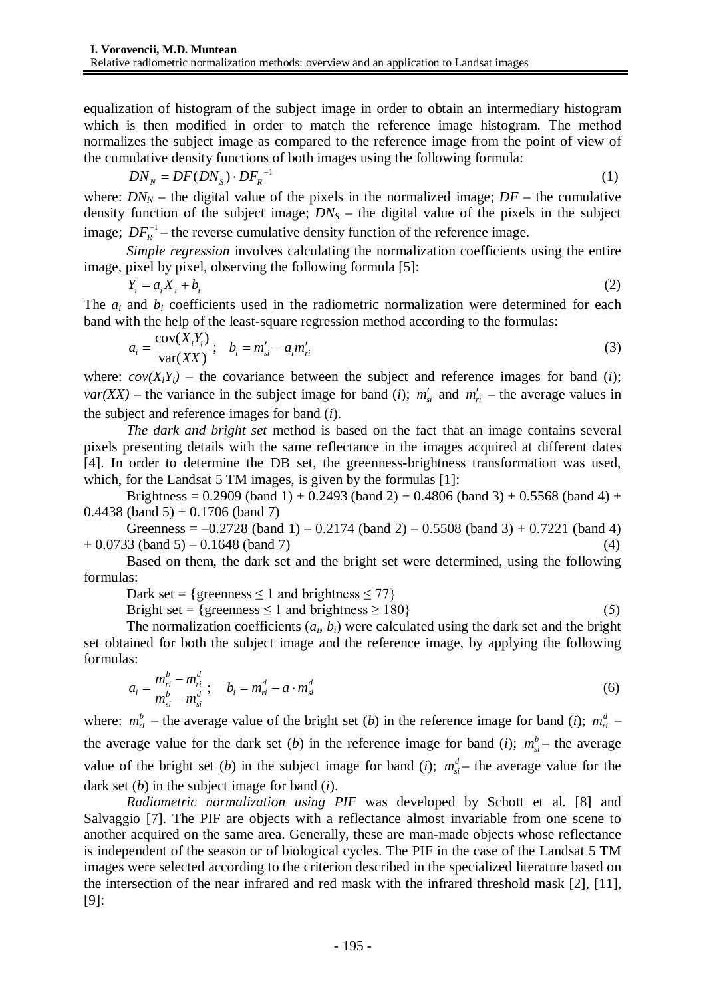equalization of histogram of the subject image in order to obtain an intermediary histogram which is then modified in order to match the reference image histogram. The method normalizes the subject image as compared to the reference image from the point of view of the cumulative density functions of both images using the following formula:

$$
DN_N = DF(DN_S) \cdot DF_R^{-1}
$$
 (1)

where:  $DN_N$  – the digital value of the pixels in the normalized image;  $DF$  – the cumulative density function of the subject image;  $DN<sub>S</sub>$  – the digital value of the pixels in the subject image;  $DF<sub>R</sub><sup>-1</sup>$  – the reverse cumulative density function of the reference image.

*Simple regression* involves calculating the normalization coefficients using the entire image, pixel by pixel, observing the following formula [5]:

$$
Y_i = a_i X_i + b_i \tag{2}
$$

The  $a_i$  and  $b_i$  coefficients used in the radiometric normalization were determined for each band with the help of the least-square regression method according to the formulas:

$$
a_i = \frac{\text{cov}(X_i Y_i)}{\text{var}(XX)}; \quad b_i = m'_{si} - a_i m'_{ri}
$$

where:  $cov(X_iY_i)$  – the covariance between the subject and reference images for band (*i*); *var*(*XX*) – the variance in the subject image for band (*i*);  $m'_{si}$  and  $m'_{ri}$  – the average values in the subject and reference images for band (*i*).

*The dark and bright set* method is based on the fact that an image contains several pixels presenting details with the same reflectance in the images acquired at different dates [4]. In order to determine the DB set, the greenness-brightness transformation was used, which, for the Landsat 5 TM images, is given by the formulas [1]:

Brightness =  $0.2909$  (band 1) +  $0.2493$  (band 2) +  $0.4806$  (band 3) +  $0.5568$  (band 4) +  $0.4438$  (band 5) + 0.1706 (band 7)

Greenness =  $-0.2728$  (band 1)  $-0.2174$  (band 2)  $-0.5508$  (band 3)  $+0.7221$  (band 4)  $+ 0.0733$  (band 5) – 0.1648 (band 7) (4)

Based on them, the dark set and the bright set were determined, using the following formulas:

Dark set = {greenness  $\leq 1$  and brightness  $\leq 77$ }

Bright set = {greenness  $\leq 1$  and brightness  $\geq 180$ } (5)

The normalization coefficients  $(a_i, b_i)$  were calculated using the dark set and the bright set obtained for both the subject image and the reference image, by applying the following formulas:

$$
a_i = \frac{m_{ri}^b - m_{ri}^d}{m_{si}^b - m_{si}^d}; \quad b_i = m_{ri}^d - a \cdot m_{si}^d
$$
 (6)

where:  $m_{ri}^b$  – the average value of the bright set (*b*) in the reference image for band (*i*);  $m_{ri}^d$  – the average value for the dark set (*b*) in the reference image for band (*i*);  $m_{si}^{b}$  – the average value of the bright set (*b*) in the subject image for band (*i*);  $m_{si}^{d}$  – the average value for the dark set (*b*) in the subject image for band (*i*).

*Radiometric normalization using PIF* was developed by Schott et al. [8] and Salvaggio [7]. The PIF are objects with a reflectance almost invariable from one scene to another acquired on the same area. Generally, these are man-made objects whose reflectance is independent of the season or of biological cycles. The PIF in the case of the Landsat 5 TM images were selected according to the criterion described in the specialized literature based on the intersection of the near infrared and red mask with the infrared threshold mask [2], [11], [9]: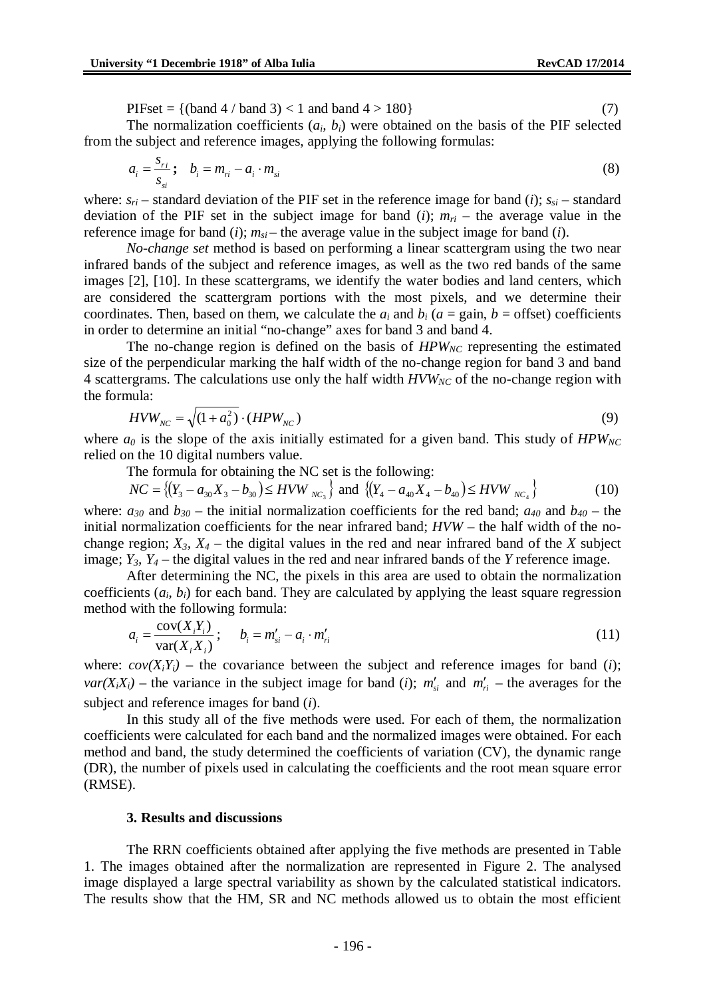PIFset =  $\{(band 4 / band 3) < 1 \text{ and band } 4 > 180\}$  (7)

The normalization coefficients  $(a_i, b_i)$  were obtained on the basis of the PIF selected from the subject and reference images, applying the following formulas:

$$
a_i = \frac{s_{ri}}{s_{si}}; \quad b_i = m_{ri} - a_i \cdot m_{si}
$$

where:  $s_{ri}$  – standard deviation of the PIF set in the reference image for band (*i*);  $s_{si}$  – standard deviation of the PIF set in the subject image for band (*i*);  $m_{ri}$  – the average value in the reference image for band  $(i)$ ;  $m_{si}$  – the average value in the subject image for band  $(i)$ .

*No-change set* method is based on performing a linear scattergram using the two near infrared bands of the subject and reference images, as well as the two red bands of the same images [2], [10]. In these scattergrams, we identify the water bodies and land centers, which are considered the scattergram portions with the most pixels, and we determine their coordinates. Then, based on them, we calculate the  $a_i$  and  $b_i$  ( $a = \text{gain}, b = \text{offset}$ ) coefficients in order to determine an initial "no-change" axes for band 3 and band 4.

The no-change region is defined on the basis of *HPW<sub>NC</sub>* representing the estimated size of the perpendicular marking the half width of the no-change region for band 3 and band 4 scattergrams. The calculations use only the half width *HVWNC* of the no-change region with the formula:

$$
HVW_{NC} = \sqrt{(1 + a_0^2) \cdot (HPW_{NC})}
$$
\n
$$
\tag{9}
$$

where  $a_0$  is the slope of the axis initially estimated for a given band. This study of  $HPW_{NC}$ relied on the 10 digital numbers value.

The formula for obtaining the NC set is the following:

$$
NC = \{(Y_3 - a_{30}X_3 - b_{30}) \leq HVW_{NC_3}\} \text{ and } \{(Y_4 - a_{40}X_4 - b_{40}) \leq HVW_{NC_4}\}\
$$
 (10)

where:  $a_{30}$  and  $b_{30}$  – the initial normalization coefficients for the red band;  $a_{40}$  and  $b_{40}$  – the initial normalization coefficients for the near infrared band; *HVW* – the half width of the nochange region;  $X_3$ ,  $X_4$  – the digital values in the red and near infrared band of the *X* subject image;  $Y_3$ ,  $Y_4$  – the digital values in the red and near infrared bands of the *Y* reference image.

After determining the NC, the pixels in this area are used to obtain the normalization coefficients  $(a_i, b_i)$  for each band. They are calculated by applying the least square regression method with the following formula:

$$
a_i = \frac{\text{cov}(X_i Y_i)}{\text{var}(X_i X_i)}; \qquad b_i = m'_{si} - a_i \cdot m'_{ri}
$$
\n
$$
(11)
$$

where:  $cov(X_iY_i)$  – the covariance between the subject and reference images for band (*i*); *var*( $X_iX_i$ ) – the variance in the subject image for band (*i*);  $m'_{si}$  and  $m'_{ri}$  – the averages for the subject and reference images for band (*i*).

In this study all of the five methods were used. For each of them, the normalization coefficients were calculated for each band and the normalized images were obtained. For each method and band, the study determined the coefficients of variation (CV), the dynamic range (DR), the number of pixels used in calculating the coefficients and the root mean square error (RMSE).

#### **3. Results and discussions**

The RRN coefficients obtained after applying the five methods are presented in Table 1. The images obtained after the normalization are represented in Figure 2. The analysed image displayed a large spectral variability as shown by the calculated statistical indicators. The results show that the HM, SR and NC methods allowed us to obtain the most efficient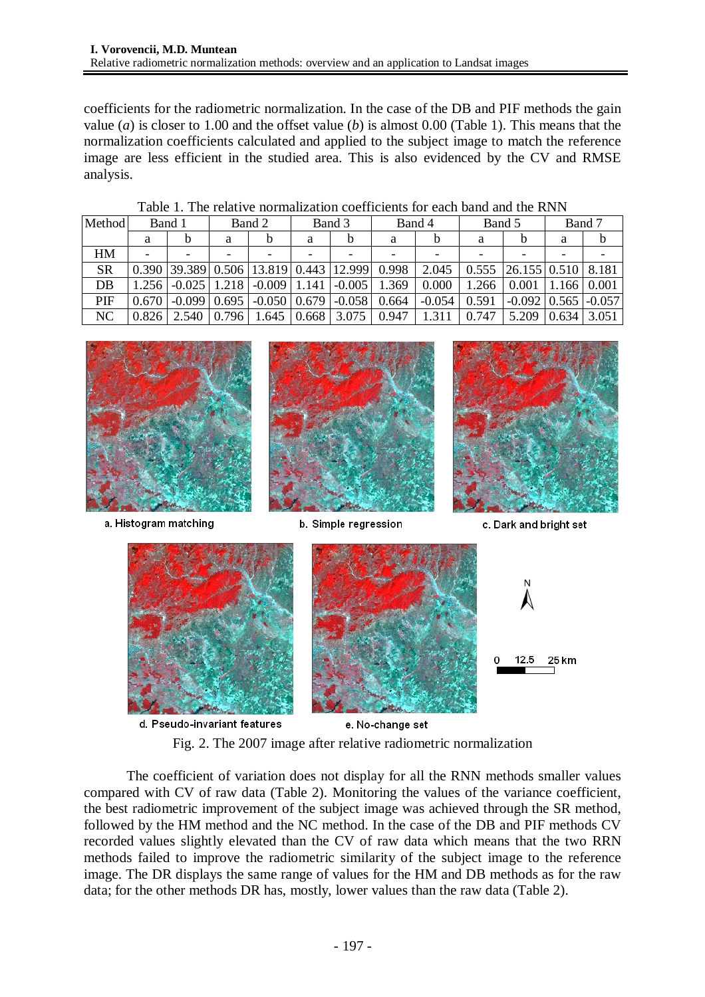coefficients for the radiometric normalization. In the case of the DB and PIF methods the gain value (*a*) is closer to 1.00 and the offset value (*b*) is almost 0.00 (Table 1). This means that the normalization coefficients calculated and applied to the subject image to match the reference image are less efficient in the studied area. This is also evidenced by the CV and RMSE analysis.

Table 1. The relative normalization coefficients for each band and the RNN

| Method    | Band 1 |                              | Band 2 |                                                    | Band 3 |          | Band 4 |          | Band 5 |                             | Band 7 |       |
|-----------|--------|------------------------------|--------|----------------------------------------------------|--------|----------|--------|----------|--------|-----------------------------|--------|-------|
|           | a      | b                            | a      | h                                                  | a      | h        | a      |          | а      |                             | a      | b     |
| HM        |        |                              |        |                                                    |        |          |        |          |        |                             |        |       |
| <b>SR</b> |        |                              |        | $0.390$   39.389   0.506   13.819   0.443   12.999 |        |          | 0.998  | 2.045    |        | $0.555$   26.155   0.510    |        | 8.181 |
| DB        |        | $1.256$   $-0.025$   $1.218$ |        | $-0.009$ 1.141                                     |        | $-0.005$ | 1.369  | 0.000    | 1.266  | 0.001                       | 1.166  | 0.001 |
| PIF       | 0.670  | $-0.099$   0.695             |        | $-0.050$ 0.679                                     |        | $-0.058$ | 0.664  | $-0.054$ | 0.591  | $-0.092$   0.565   $-0.057$ |        |       |
| NC        | 0.8261 | 2.540                        | 0.796  | l.645 l                                            | 0.668  | 3.075    | 0.947  | 1.311    | 0.747  | 5.209                       | 0.634  | 3.051 |



a. Histogram matching



b. Simple regression



c. Dark and bright set



Fig. 2. The 2007 image after relative radiometric normalization

The coefficient of variation does not display for all the RNN methods smaller values compared with CV of raw data (Table 2). Monitoring the values of the variance coefficient, the best radiometric improvement of the subject image was achieved through the SR method, followed by the HM method and the NC method. In the case of the DB and PIF methods CV recorded values slightly elevated than the CV of raw data which means that the two RRN methods failed to improve the radiometric similarity of the subject image to the reference image. The DR displays the same range of values for the HM and DB methods as for the raw data; for the other methods DR has, mostly, lower values than the raw data (Table 2).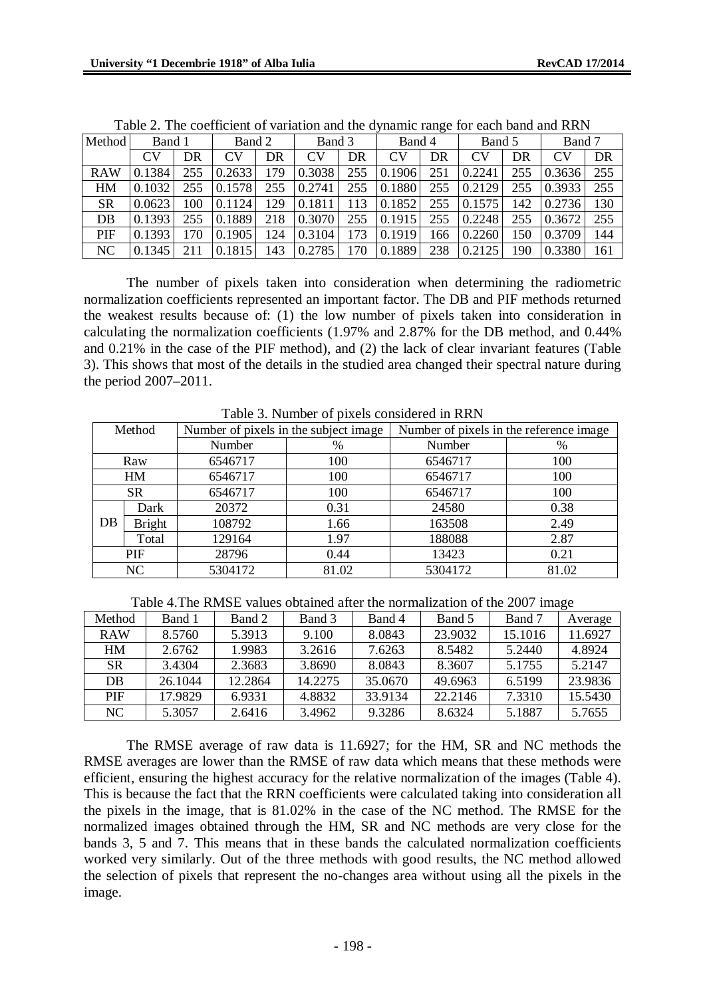|            |           |     |        |     |           |     | $\frac{1}{2}$ and the $\frac{1}{2}$ manner range for each office and rate. |     |                |     |           |                  |
|------------|-----------|-----|--------|-----|-----------|-----|----------------------------------------------------------------------------|-----|----------------|-----|-----------|------------------|
| Method     | Band 1    |     | Band 2 |     | Band 3    |     | Band 4                                                                     |     | Band 5         |     | Band 7    |                  |
|            | <b>CV</b> | DR  | CV     | DR  | <b>CV</b> | DR  | CV                                                                         | DR  | CV <sub></sub> | DR  | <b>CV</b> | DR               |
| <b>RAW</b> | 0.1384    | 255 | 0.2633 | 179 | 0.3038    | 255 | 0.1906                                                                     | 251 | 0.2241         | 255 | 0.3636    | $\overline{255}$ |
| HM         | 0.1032    | 255 | 0.1578 | 255 | 0.2741    | 255 | 0.1880                                                                     | 255 | 0.2129         | 255 | 0.3933    | 255              |
| <b>SR</b>  | 0.0623    | 100 | 0.1124 | 129 | 0.1811    | 113 | 0.1852                                                                     | 255 | 0.1575         | 142 | 0.2736    | 130              |
| DB         | 0.1393    | 255 | 0.1889 | 218 | 0.3070    | 255 | 0.1915                                                                     | 255 | 0.2248         | 255 | 0.3672    | 255              |
| PIF        | 0.1393    | 170 | 0.1905 | 124 | 0.3104    | 173 | 0.1919                                                                     | 166 | 0.2260         | 150 | 0.3709    | 144              |
| NC         | 0.1345    |     | 0.1815 | 143 | 0.2785    | 170 | 0.1889                                                                     | 238 | 0.2125         | 190 | 0.3380    | 161              |

Table 2. The coefficient of variation and the dynamic range for each band and RRN

The number of pixels taken into consideration when determining the radiometric normalization coefficients represented an important factor. The DB and PIF methods returned the weakest results because of: (1) the low number of pixels taken into consideration in calculating the normalization coefficients (1.97% and 2.87% for the DB method, and 0.44% and 0.21% in the case of the PIF method), and (2) the lack of clear invariant features (Table 3). This shows that most of the details in the studied area changed their spectral nature during the period 2007–2011.

|                | Twore by INGHIBOT of prices considered in River |                                       |               |                                         |       |  |  |  |  |  |
|----------------|-------------------------------------------------|---------------------------------------|---------------|-----------------------------------------|-------|--|--|--|--|--|
| Method         |                                                 | Number of pixels in the subject image |               | Number of pixels in the reference image |       |  |  |  |  |  |
|                |                                                 | Number                                | $\frac{0}{0}$ | Number                                  | %     |  |  |  |  |  |
| Raw            |                                                 | 6546717                               | 100           | 6546717                                 | 100   |  |  |  |  |  |
| HM             |                                                 | 6546717                               | 100           | 6546717                                 | 100   |  |  |  |  |  |
| <b>SR</b>      |                                                 | 6546717                               | 100           | 6546717                                 | 100   |  |  |  |  |  |
|                | Dark                                            | 20372                                 | 0.31          | 24580                                   | 0.38  |  |  |  |  |  |
| D <sub>B</sub> | <b>Bright</b>                                   | 108792                                | 1.66          | 163508                                  | 2.49  |  |  |  |  |  |
|                | Total                                           | 129164                                | 1.97          | 188088                                  | 2.87  |  |  |  |  |  |
| PIF            |                                                 | 28796                                 | 0.44          | 13423                                   | 0.21  |  |  |  |  |  |
| NC             |                                                 | 5304172                               | 81.02         | 5304172                                 | 81.02 |  |  |  |  |  |

Table 3. Number of pixels considered in RRN

Table 4.The RMSE values obtained after the normalization of the 2007 image

| Method         | Band 1  | Band 2  | Band 3  | Band 4  | Band 5  | Band 7  | Average |
|----------------|---------|---------|---------|---------|---------|---------|---------|
| <b>RAW</b>     | 8.5760  | 5.3913  | 9.100   | 8.0843  | 23.9032 | 15.1016 | 11.6927 |
| HM             | 2.6762  | 1.9983  | 3.2616  | 7.6263  | 8.5482  | 5.2440  | 4.8924  |
| <b>SR</b>      | 3.4304  | 2.3683  | 3.8690  | 8.0843  | 8.3607  | 5.1755  | 5.2147  |
| D <sub>B</sub> | 26.1044 | 12.2864 | 14.2275 | 35.0670 | 49.6963 | 6.5199  | 23.9836 |
| <b>PIF</b>     | 17.9829 | 6.9331  | 4.8832  | 33.9134 | 22.2146 | 7.3310  | 15.5430 |
| NC.            | 5.3057  | 2.6416  | 3.4962  | 9.3286  | 8.6324  | 5.1887  | 5.7655  |

The RMSE average of raw data is 11.6927; for the HM, SR and NC methods the RMSE averages are lower than the RMSE of raw data which means that these methods were efficient, ensuring the highest accuracy for the relative normalization of the images (Table 4). This is because the fact that the RRN coefficients were calculated taking into consideration all the pixels in the image, that is 81.02% in the case of the NC method. The RMSE for the normalized images obtained through the HM, SR and NC methods are very close for the bands 3, 5 and 7. This means that in these bands the calculated normalization coefficients worked very similarly. Out of the three methods with good results, the NC method allowed the selection of pixels that represent the no-changes area without using all the pixels in the image.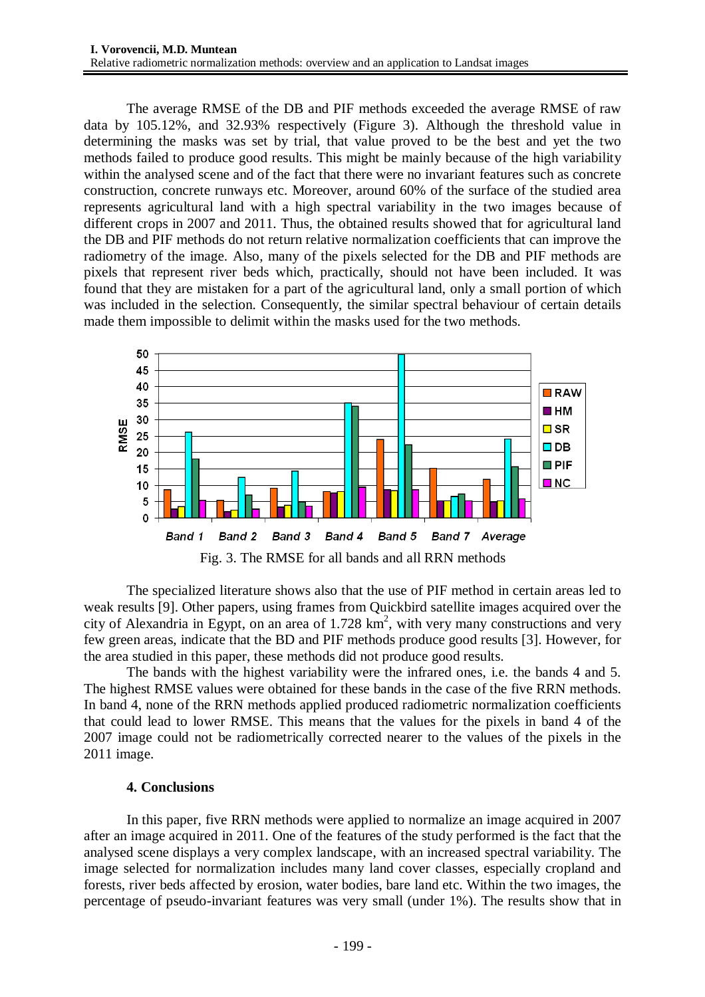The average RMSE of the DB and PIF methods exceeded the average RMSE of raw data by 105.12%, and 32.93% respectively (Figure 3). Although the threshold value in determining the masks was set by trial, that value proved to be the best and yet the two methods failed to produce good results. This might be mainly because of the high variability within the analysed scene and of the fact that there were no invariant features such as concrete construction, concrete runways etc. Moreover, around 60% of the surface of the studied area represents agricultural land with a high spectral variability in the two images because of different crops in 2007 and 2011. Thus, the obtained results showed that for agricultural land the DB and PIF methods do not return relative normalization coefficients that can improve the radiometry of the image. Also, many of the pixels selected for the DB and PIF methods are pixels that represent river beds which, practically, should not have been included. It was found that they are mistaken for a part of the agricultural land, only a small portion of which was included in the selection. Consequently, the similar spectral behaviour of certain details made them impossible to delimit within the masks used for the two methods.



Fig. 3. The RMSE for all bands and all RRN methods

The specialized literature shows also that the use of PIF method in certain areas led to weak results [9]. Other papers, using frames from Quickbird satellite images acquired over the city of Alexandria in Egypt, on an area of  $1.728 \text{ km}^2$ , with very many constructions and very few green areas, indicate that the BD and PIF methods produce good results [3]. However, for the area studied in this paper, these methods did not produce good results.

The bands with the highest variability were the infrared ones, i.e. the bands 4 and 5. The highest RMSE values were obtained for these bands in the case of the five RRN methods. In band 4, none of the RRN methods applied produced radiometric normalization coefficients that could lead to lower RMSE. This means that the values for the pixels in band 4 of the 2007 image could not be radiometrically corrected nearer to the values of the pixels in the 2011 image.

# **4. Conclusions**

In this paper, five RRN methods were applied to normalize an image acquired in 2007 after an image acquired in 2011. One of the features of the study performed is the fact that the analysed scene displays a very complex landscape, with an increased spectral variability. The image selected for normalization includes many land cover classes, especially cropland and forests, river beds affected by erosion, water bodies, bare land etc. Within the two images, the percentage of pseudo-invariant features was very small (under 1%). The results show that in